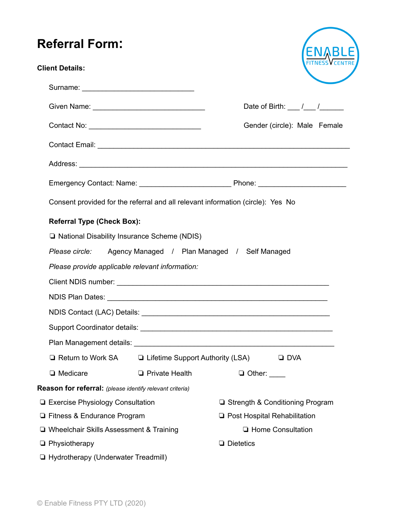## **Referral Form:**

| <b>Referral Form:</b>                                                           |                         |                                     |  |
|---------------------------------------------------------------------------------|-------------------------|-------------------------------------|--|
| <b>Client Details:</b>                                                          |                         |                                     |  |
|                                                                                 |                         |                                     |  |
|                                                                                 |                         | Date of Birth: $\frac{1}{\sqrt{2}}$ |  |
|                                                                                 |                         | Gender (circle): Male Female        |  |
|                                                                                 |                         |                                     |  |
|                                                                                 |                         |                                     |  |
|                                                                                 |                         |                                     |  |
| Consent provided for the referral and all relevant information (circle): Yes No |                         |                                     |  |
| <b>Referral Type (Check Box):</b>                                               |                         |                                     |  |
| □ National Disability Insurance Scheme (NDIS)                                   |                         |                                     |  |
| Please circle: Agency Managed / Plan Managed / Self Managed                     |                         |                                     |  |
| Please provide applicable relevant information:                                 |                         |                                     |  |
|                                                                                 |                         |                                     |  |
|                                                                                 |                         |                                     |  |
| NDIS Contact (LAC) Details: ________                                            |                         |                                     |  |
|                                                                                 |                         |                                     |  |
|                                                                                 |                         |                                     |  |
| $\Box$ Return to Work SA $\Box$ Lifetime Support Authority (LSA)                |                         | $\Box$ DVA                          |  |
| □ Medicare                                                                      | <b>D</b> Private Health | $\Box$ Other: $\_\_$                |  |
| Reason for referral: (please identify relevant criteria)                        |                         |                                     |  |
| <b>Exercise Physiology Consultation</b>                                         |                         | □ Strength & Conditioning Program   |  |
| □ Fitness & Endurance Program                                                   |                         | □ Post Hospital Rehabilitation      |  |
| □ Wheelchair Skills Assessment & Training                                       |                         | <b>u</b> Home Consultation          |  |
| $\Box$ Physiotherapy                                                            |                         | $\Box$ Dietetics                    |  |
| Hydrotherapy (Underwater Treadmill)                                             |                         |                                     |  |